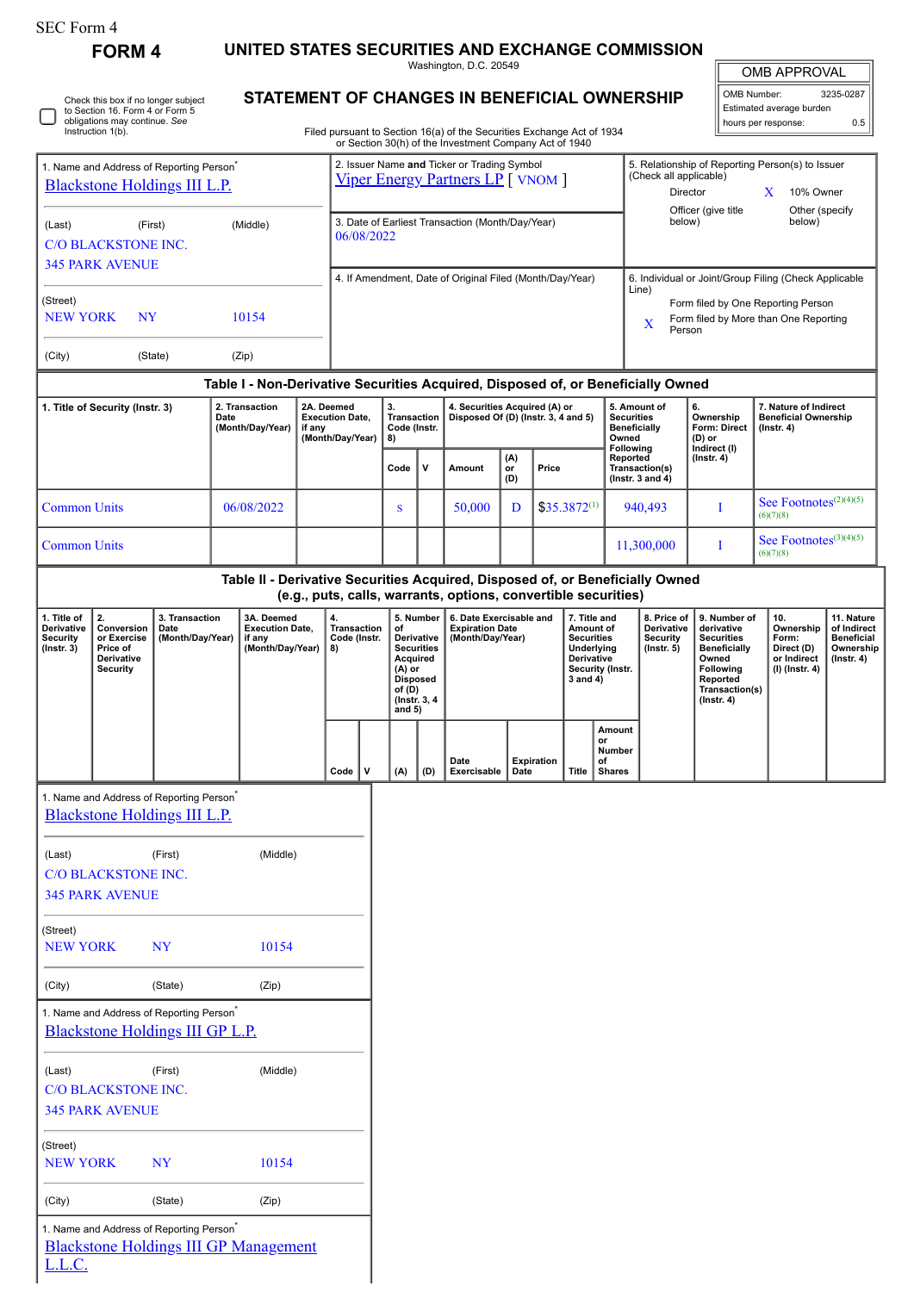| SEC Form 4 |  |
|------------|--|
|------------|--|

٦

L.L.C.

Check this box if no longer subject to Section 16. Form 4 or Form 5 obligations may continue. *See* Instruction 1(b).

**FORM 4 UNITED STATES SECURITIES AND EXCHANGE COMMISSION**

Washington, D.C. 20549 **STATEMENT OF CHANGES IN BENEFICIAL OWNERSHIP**

| <b>OMB APPROVAL</b>        |           |  |  |  |  |  |
|----------------------------|-----------|--|--|--|--|--|
| OMB Number:                | 3235-0287 |  |  |  |  |  |
| Estimated average burden   |           |  |  |  |  |  |
| hours per response:<br>ሰ 5 |           |  |  |  |  |  |

Filed pursuant to Section 16(a) of the Securities Exchange Act of 1934 or Section 30(h) of the Investment Company Act of 1940

| 1. Name and Address of Reporting Person <sup>*</sup><br><b>Blackstone Holdings III L.P.</b>                                               |                                                                                                |                                            |                                                                                  | 2. Issuer Name and Ticker or Trading Symbol<br>Viper Energy Partners LP [ VNOM ] |                                                                    |                                                                |                                                                                                                                      |     |                                                                       |                  | 5. Relationship of Reporting Person(s) to Issuer<br>(Check all applicable)<br>Director<br>X<br>10% Owner |                                                                                                                |                                                                                                     |                                                                                       |                                                                                                                                                |                                                                          |                                                                           |
|-------------------------------------------------------------------------------------------------------------------------------------------|------------------------------------------------------------------------------------------------|--------------------------------------------|----------------------------------------------------------------------------------|----------------------------------------------------------------------------------|--------------------------------------------------------------------|----------------------------------------------------------------|--------------------------------------------------------------------------------------------------------------------------------------|-----|-----------------------------------------------------------------------|------------------|----------------------------------------------------------------------------------------------------------|----------------------------------------------------------------------------------------------------------------|-----------------------------------------------------------------------------------------------------|---------------------------------------------------------------------------------------|------------------------------------------------------------------------------------------------------------------------------------------------|--------------------------------------------------------------------------|---------------------------------------------------------------------------|
| (First)<br>(Middle)<br>(Last)<br><b>C/O BLACKSTONE INC.</b>                                                                               |                                                                                                |                                            |                                                                                  |                                                                                  |                                                                    | 3. Date of Earliest Transaction (Month/Day/Year)<br>06/08/2022 |                                                                                                                                      |     |                                                                       |                  |                                                                                                          |                                                                                                                | Officer (give title<br>Other (specify<br>below)<br>below)                                           |                                                                                       |                                                                                                                                                |                                                                          |                                                                           |
| <b>345 PARK AVENUE</b>                                                                                                                    |                                                                                                |                                            |                                                                                  |                                                                                  | 4. If Amendment, Date of Original Filed (Month/Day/Year)           |                                                                |                                                                                                                                      |     |                                                                       |                  |                                                                                                          | 6. Individual or Joint/Group Filing (Check Applicable                                                          |                                                                                                     |                                                                                       |                                                                                                                                                |                                                                          |                                                                           |
| (Street)<br>10154<br><b>NEW YORK</b><br>NY                                                                                                |                                                                                                |                                            |                                                                                  |                                                                                  |                                                                    |                                                                |                                                                                                                                      |     |                                                                       |                  |                                                                                                          |                                                                                                                | Line)<br>Form filed by One Reporting Person<br>Form filed by More than One Reporting<br>X<br>Person |                                                                                       |                                                                                                                                                |                                                                          |                                                                           |
| (City)                                                                                                                                    |                                                                                                | (State)                                    | (Zip)                                                                            |                                                                                  |                                                                    |                                                                |                                                                                                                                      |     |                                                                       |                  |                                                                                                          |                                                                                                                |                                                                                                     |                                                                                       |                                                                                                                                                |                                                                          |                                                                           |
|                                                                                                                                           |                                                                                                |                                            | Table I - Non-Derivative Securities Acquired, Disposed of, or Beneficially Owned |                                                                                  |                                                                    |                                                                |                                                                                                                                      |     |                                                                       |                  |                                                                                                          |                                                                                                                |                                                                                                     |                                                                                       |                                                                                                                                                |                                                                          |                                                                           |
| 1. Title of Security (Instr. 3)                                                                                                           |                                                                                                |                                            | 2. Transaction<br>Date<br>(Month/Day/Year)                                       |                                                                                  | 2A. Deemed<br><b>Execution Date,</b><br>if any<br>(Month/Day/Year) |                                                                | 3.<br>Transaction<br>Code (Instr.<br>8)                                                                                              |     | 4. Securities Acquired (A) or<br>Disposed Of (D) (Instr. 3, 4 and 5)  |                  |                                                                                                          |                                                                                                                |                                                                                                     | 5. Amount of<br><b>Securities</b><br><b>Beneficially</b><br>Owned<br><b>Following</b> | 6.<br>Ownership<br><b>Form: Direct</b><br>$(D)$ or<br>Indirect (I)                                                                             | 7. Nature of Indirect<br><b>Beneficial Ownership</b><br>$($ lnstr. 4 $)$ |                                                                           |
|                                                                                                                                           |                                                                                                |                                            |                                                                                  |                                                                                  |                                                                    |                                                                | Code                                                                                                                                 | v   | Amount                                                                | (A)<br>or<br>(D) | Price                                                                                                    |                                                                                                                |                                                                                                     | Reported<br>Transaction(s)<br>(Instr. $3$ and $4$ )                                   | $($ Instr. 4 $)$                                                                                                                               |                                                                          |                                                                           |
| <b>Common Units</b>                                                                                                                       |                                                                                                |                                            | 06/08/2022                                                                       |                                                                                  |                                                                    |                                                                | S                                                                                                                                    |     | 50,000                                                                | D                |                                                                                                          | $$35.3872^{(1)}$                                                                                               |                                                                                                     | 940,493                                                                               | I                                                                                                                                              | See Footnotes <sup>(2)(4)(5)</sup><br>(6)(7)(8)                          |                                                                           |
| <b>Common Units</b>                                                                                                                       |                                                                                                |                                            |                                                                                  |                                                                                  |                                                                    |                                                                |                                                                                                                                      |     |                                                                       |                  |                                                                                                          |                                                                                                                |                                                                                                     | 11,300,000                                                                            | I                                                                                                                                              | See Footnotes <sup>(3)(4)(5)</sup><br>(6)(7)(8)                          |                                                                           |
|                                                                                                                                           |                                                                                                |                                            | Table II - Derivative Securities Acquired, Disposed of, or Beneficially Owned    |                                                                                  |                                                                    |                                                                |                                                                                                                                      |     | (e.g., puts, calls, warrants, options, convertible securities)        |                  |                                                                                                          |                                                                                                                |                                                                                                     |                                                                                       |                                                                                                                                                |                                                                          |                                                                           |
| 2.<br>1. Title of<br>Derivative<br>Conversion<br>Security<br>or Exercise<br>$($ Instr. 3 $)$<br>Price of<br>Derivative<br><b>Security</b> |                                                                                                | 3. Transaction<br>Date<br>(Month/Day/Year) | 3A. Deemed<br><b>Execution Date,</b><br>if any<br>(Month/Day/Year)               |                                                                                  | 4.<br><b>Transaction</b><br>Code (Instr.<br>8)                     |                                                                | 5. Number<br>of<br>Derivative<br><b>Securities</b><br>Acquired<br>$(A)$ or<br><b>Disposed</b><br>of (D)<br>(Instr. 3, 4)<br>and $5)$ |     | 6. Date Exercisable and<br><b>Expiration Date</b><br>(Month/Day/Year) |                  |                                                                                                          | 7. Title and<br>Amount of<br><b>Securities</b><br>Underlying<br>Derivative<br>Security (Instr.<br>$3$ and $4)$ |                                                                                                     | 8. Price of<br>Derivative<br><b>Security</b><br>$($ Instr. 5 $)$                      | 9. Number of<br>derivative<br><b>Securities</b><br><b>Beneficially</b><br>Owned<br>Following<br>Reported<br>Transaction(s)<br>$($ Instr. 4 $)$ | 10.<br>Ownership<br>Form:<br>Direct (D)<br>or Indirect<br>(I) (Instr. 4) | 11. Nature<br>of Indirect<br><b>Beneficial</b><br>Ownership<br>(Instr. 4) |
|                                                                                                                                           |                                                                                                |                                            |                                                                                  |                                                                                  | Code                                                               | ٧                                                              | (A)                                                                                                                                  | (D) | Date<br>Exercisable                                                   | Date             | <b>Expiration</b>                                                                                        | Title                                                                                                          | Amount<br>or<br>Number<br>of<br><b>Shares</b>                                                       |                                                                                       |                                                                                                                                                |                                                                          |                                                                           |
|                                                                                                                                           | 1. Name and Address of Reporting Person <sup>7</sup><br><b>Blackstone Holdings III L.P.</b>    |                                            |                                                                                  |                                                                                  |                                                                    |                                                                |                                                                                                                                      |     |                                                                       |                  |                                                                                                          |                                                                                                                |                                                                                                     |                                                                                       |                                                                                                                                                |                                                                          |                                                                           |
| (Last)                                                                                                                                    | <b>C/O BLACKSTONE INC.</b><br><b>345 PARK AVENUE</b>                                           | (First)                                    | (Middle)                                                                         |                                                                                  |                                                                    |                                                                |                                                                                                                                      |     |                                                                       |                  |                                                                                                          |                                                                                                                |                                                                                                     |                                                                                       |                                                                                                                                                |                                                                          |                                                                           |
| (Street)<br><b>NEW YORK</b>                                                                                                               |                                                                                                | <b>NY</b>                                  | 10154                                                                            |                                                                                  |                                                                    |                                                                |                                                                                                                                      |     |                                                                       |                  |                                                                                                          |                                                                                                                |                                                                                                     |                                                                                       |                                                                                                                                                |                                                                          |                                                                           |
| (City)                                                                                                                                    |                                                                                                | (State)                                    | (Zip)                                                                            |                                                                                  |                                                                    |                                                                |                                                                                                                                      |     |                                                                       |                  |                                                                                                          |                                                                                                                |                                                                                                     |                                                                                       |                                                                                                                                                |                                                                          |                                                                           |
|                                                                                                                                           | 1. Name and Address of Reporting Person <sup>*</sup><br><b>Blackstone Holdings III GP L.P.</b> |                                            |                                                                                  |                                                                                  |                                                                    |                                                                |                                                                                                                                      |     |                                                                       |                  |                                                                                                          |                                                                                                                |                                                                                                     |                                                                                       |                                                                                                                                                |                                                                          |                                                                           |
| (Last)                                                                                                                                    | C/O BLACKSTONE INC.<br><b>345 PARK AVENUE</b>                                                  | (First)                                    | (Middle)                                                                         |                                                                                  |                                                                    |                                                                |                                                                                                                                      |     |                                                                       |                  |                                                                                                          |                                                                                                                |                                                                                                     |                                                                                       |                                                                                                                                                |                                                                          |                                                                           |
| (Street)<br><b>NEW YORK</b>                                                                                                               |                                                                                                | <b>NY</b>                                  | 10154                                                                            |                                                                                  |                                                                    |                                                                |                                                                                                                                      |     |                                                                       |                  |                                                                                                          |                                                                                                                |                                                                                                     |                                                                                       |                                                                                                                                                |                                                                          |                                                                           |
| (City)                                                                                                                                    |                                                                                                | (State)                                    | (Zip)                                                                            |                                                                                  |                                                                    |                                                                |                                                                                                                                      |     |                                                                       |                  |                                                                                                          |                                                                                                                |                                                                                                     |                                                                                       |                                                                                                                                                |                                                                          |                                                                           |
|                                                                                                                                           | 1. Name and Address of Reporting Person <sup>*</sup>                                           |                                            | <b>Blackstone Holdings III GP Management</b>                                     |                                                                                  |                                                                    |                                                                |                                                                                                                                      |     |                                                                       |                  |                                                                                                          |                                                                                                                |                                                                                                     |                                                                                       |                                                                                                                                                |                                                                          |                                                                           |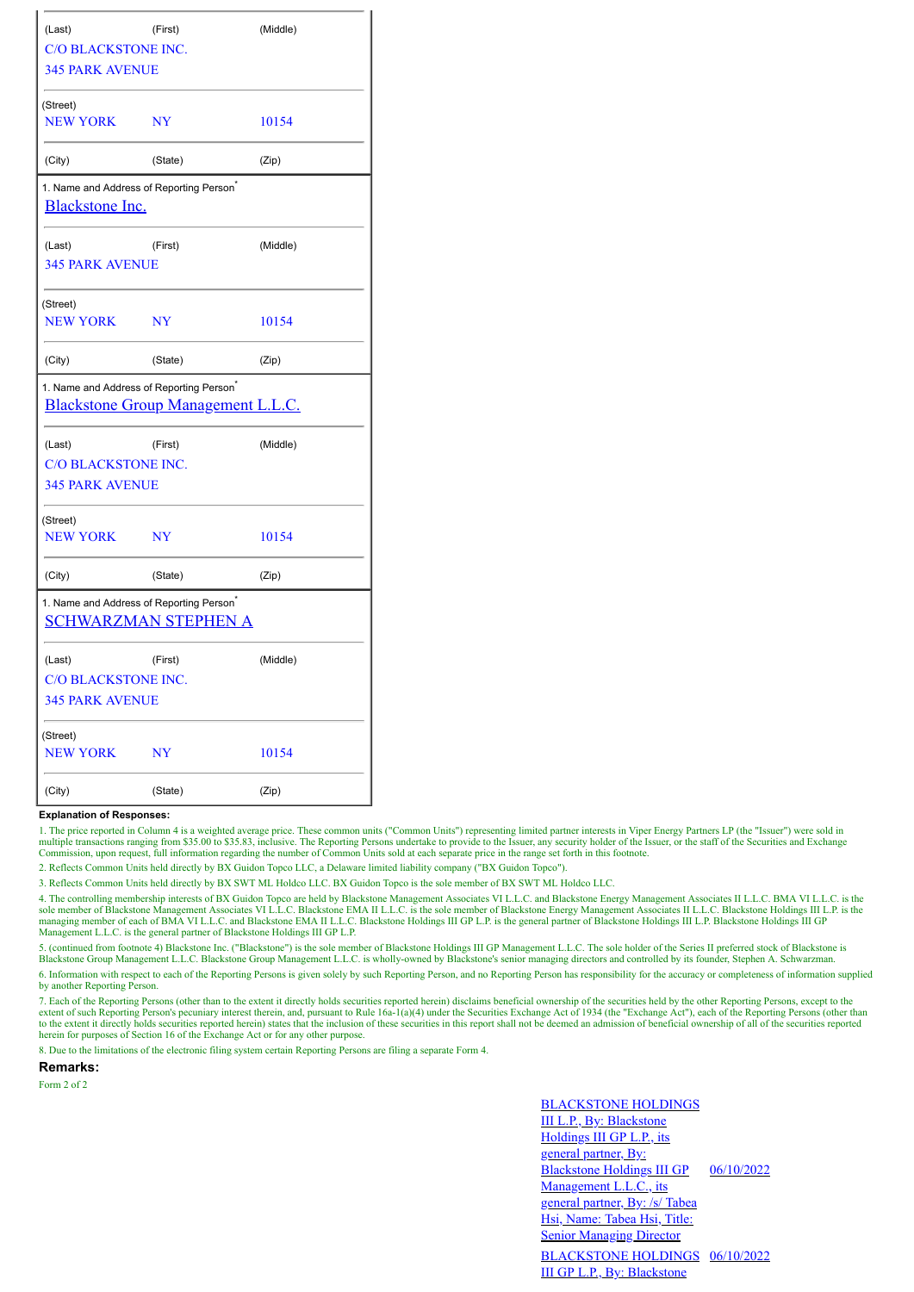| (Last)                                                                                     | (Middle)  |          |  |
|--------------------------------------------------------------------------------------------|-----------|----------|--|
| <b>C/O BLACKSTONE INC.</b>                                                                 |           |          |  |
| <b>345 PARK AVENUE</b>                                                                     |           |          |  |
| (Street)                                                                                   |           |          |  |
| <b>NEW YORK</b>                                                                            | <b>NY</b> | 10154    |  |
| (City)                                                                                     | (State)   | (Zip)    |  |
| 1. Name and Address of Reporting Person <sup>*</sup><br><b>Blackstone Inc.</b>             |           |          |  |
| (Last)                                                                                     | (First)   | (Middle) |  |
| <b>345 PARK AVENUE</b>                                                                     |           |          |  |
| (Street)                                                                                   |           |          |  |
| <b>NEW YORK</b>                                                                            | <b>NY</b> | 10154    |  |
| (City)                                                                                     | (State)   | (Zip)    |  |
| 1. Name and Address of Reporting Person <sup>*</sup><br>Blackstone Group Management L.L.C. |           |          |  |
| (Last)                                                                                     | (First)   | (Middle) |  |
| C/O BLACKSTONE INC.                                                                        |           |          |  |
| <b>345 PARK AVENUE</b>                                                                     |           |          |  |
| (Street)                                                                                   |           |          |  |
| <b>NEW YORK</b>                                                                            | <b>NY</b> | 10154    |  |
| (City)                                                                                     | (State)   | (Zip)    |  |
| 1. Name and Address of Reporting Person <sup>®</sup><br><b>SCHWARZMAN STEPHEN A</b>        |           |          |  |
| (Last)                                                                                     | (First)   | (Middle) |  |
| <b>C/O BLACKSTONE INC.</b>                                                                 |           |          |  |
| <b>345 PARK AVENUE</b>                                                                     |           |          |  |
| (Street)                                                                                   |           |          |  |
| <b>NEW YORK</b>                                                                            | <b>NY</b> | 10154    |  |
| (City)                                                                                     | (State)   | (Zip)    |  |

## **Explanation of Responses:**

1. The price reported in Column 4 is a weighted average price. These common units ("Common Units") representing limited partner interests in Viper Energy Partners LP (the "Issuer") were sold in multiple transactions ranging from \$35.00 to \$35.83, inclusive. The Reporting Persons undertake to provide to the Issuer, any security holder of the Issuer, or the staff of the Securities and Exchange Commission, upon requ

2. Reflects Common Units held directly by BX Guidon Topco LLC, a Delaware limited liability company ("BX Guidon Topco").

3. Reflects Common Units held directly by BX SWT ML Holdco LLC. BX Guidon Topco is the sole member of BX SWT ML Holdco LLC.

4. The controlling membership interests of BX Guidon Topco are held by Blackstone Management Associates IV L.L.C. and Blackstone Energy Management Associates II L.L.C. BMA VI L.L.C. is the sole member of Blackstone Managem managing member of each of BMA VI L.L.C. and Blackstone EMA II L.L.C. Blackstone Holdings III GP L.P. is the general partner of Blackstone Holdings III L.P. Blackstone Holdings III GP Management L.L.C. is the general partner of Blackstone Holdings III GP L.P.

5. (continued from footnote 4) Blackstone Inc. ("Blackstone") is the sole member of Blackstone Holdings III GP Management L.L.C. The sole holder of the Series II preferred stock of Blackstone is Blackstone Group Management L.L.C. Blackstone Group Management L.L.C. is wholly-owned by Blackstone's senior managing directors and controlled by its founder, Stephen A. Schwarzman.

6. Information with respect to each of the Reporting Persons is given solely by such Reporting Person, and no Reporting Person has responsibility for the accuracy or completeness of information supplied by another Reporting Person.

7. Each of the Reporting Persons (other than to the extent it directly holds securities reported herein) disclaims beneficial ownership of the securities held by the other Reporting Persons, except to the extent of such Reporting Person's pecuniary interest therein, and, pursuant to Rule 16a-1(a)(4) under the Securities Exchange Act of 1934 (the "Exchange Act"), each of the Reporting Persons (other than to the extent it directly holds securities reported herein) states that the inclusion of these securities in this report shall not be deemed an admission of beneficial ownership of all of the securities reported<br>herein for

8. Due to the limitations of the electronic filing system certain Reporting Persons are filing a separate Form 4.

**Remarks:**

Form 2 of 2

BLACKSTONE HOLDINGS III L.P., By: Blackstone Holdings III GP L.P., its general partner, By: Blackstone Holdings III GP Management L.L.C., its general partner, By: /s/ Tabea Hsi, Name: Tabea Hsi, Title: Senior Managing Director 06/10/2022 BLACKSTONE HOLDINGS 06/10/2022III GP L.P., By: Blackstone